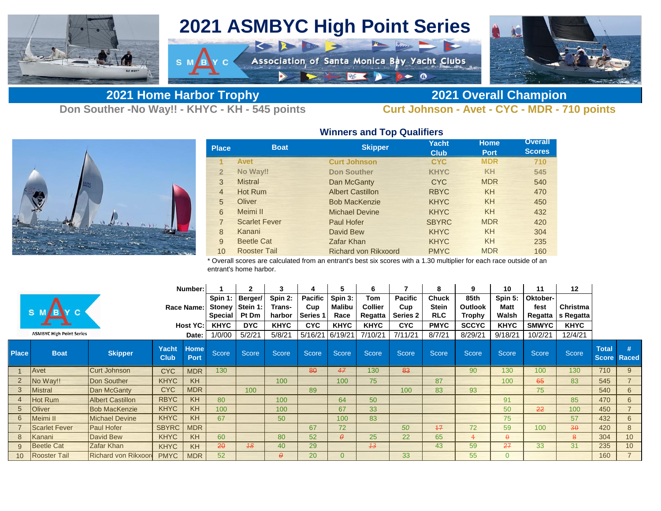

## **2021 ASMBYC High Point Series**

K R FIN S

 $\rightarrow$ 

Association of Santa Monica Bay Yacht Clubs

**2021 Home Harbor Trophy 2021 Overall Champion**

E

**Don Souther -No Way!! - KHYC - KH - 545 points Curt Johnson - Avet - CYC - MDR - 710 points**



| <b>Place</b>   | <b>Boat</b>          | <b>Skipper</b>              | <b>Yacht</b><br><b>Club</b> | <b>Home</b><br><b>Port</b> | <b>Overall</b><br><b>Scores</b> |  |  |
|----------------|----------------------|-----------------------------|-----------------------------|----------------------------|---------------------------------|--|--|
|                | <b>Avet</b>          | <b>Curt Johnson</b>         | <b>CYC</b>                  | <b>MDR</b>                 | 710                             |  |  |
| $\overline{2}$ | No Way!!             | <b>Don Souther</b>          | <b>KHYC</b>                 | <b>KH</b>                  | 545                             |  |  |
| 3              | <b>Mistral</b>       | Dan McGanty                 | <b>CYC</b>                  | <b>MDR</b>                 | 540                             |  |  |
| $\overline{4}$ | Hot Rum              | <b>Albert Castillon</b>     | <b>RBYC</b>                 | <b>KH</b>                  | 470                             |  |  |
| 5              | Oliver               | <b>Bob MacKenzie</b>        | <b>KHYC</b>                 | <b>KH</b>                  | 450                             |  |  |
| 6              | Meimi II             | <b>Michael Devine</b>       | <b>KHYC</b>                 | <b>KH</b>                  | 432                             |  |  |
| $\overline{7}$ | <b>Scarlet Fever</b> | Paul Hofer                  | <b>SBYRC</b>                | <b>MDR</b>                 | 420                             |  |  |
| 8              | Kanani               | David Bew                   | <b>KHYC</b>                 | <b>KH</b>                  | 304                             |  |  |
| 9              | <b>Beetle Cat</b>    | <b>Zafar Khan</b>           | <b>KHYC</b>                 | <b>KH</b>                  | 235                             |  |  |
| 10             | <b>Rooster Tail</b>  | <b>Richard von Rikxoord</b> | <b>PMYC</b>                 | <b>MDR</b>                 | 160                             |  |  |

10 Rooster Tail **Richard von Rikxoord** PMYC MDR 160 Rooster Tail **Richard von Rikxoord** PMYC MDR \* Overall scores are calculated from an entrant's best six scores with a 1.30 multiplier for each race outside of an

entrant's home harbor.

| Number:         |                                 |                            |                      |              |              | $\mathbf{2}$ | 3              |                 |             | 6              |            |              | 9              | 10             | 11           | 12                  |                              |                   |
|-----------------|---------------------------------|----------------------------|----------------------|--------------|--------------|--------------|----------------|-----------------|-------------|----------------|------------|--------------|----------------|----------------|--------------|---------------------|------------------------------|-------------------|
|                 |                                 |                            |                      | Spin 1:      | Berger/      | Spin 2:      | <b>Pacific</b> | Spin 3:         | Tom         | Pacific        | Chuck      | 85th         | Spin 5:        | Oktober-       |              |                     |                              |                   |
|                 |                                 |                            | Race Name:           |              | Stoney       | Stein 1:     | <b>Trans-</b>  | Cup             | Malibu      | <b>Collier</b> | Cup        | <b>Stein</b> | <b>Outlook</b> | <b>Matt</b>    | fest         | Christma            |                              |                   |
|                 |                                 |                            |                      |              | Special      | Pt Dm        | harbor         | <b>Series 1</b> | Race        | Regatta        | Series 2   | <b>RLC</b>   | Trophy         | Walsh          |              | Regatta   s Regatta |                              |                   |
|                 |                                 |                            |                      | Host YC:     | <b>KHYC</b>  | <b>DYC</b>   | <b>KHYC</b>    | <b>CYC</b>      | <b>KHYC</b> | <b>KHYC</b>    | <b>CYC</b> | <b>PMYC</b>  | <b>SCCYC</b>   | <b>KHYC</b>    | <b>SMWYC</b> | <b>KHYC</b>         |                              |                   |
|                 | <b>ASMBYC High Point Series</b> |                            | Date:                |              | 1/0/00       | 5/2/21       | 5/8/21         | 5/16/21         | 6/19/21     | 7/10/21        | 7/11/21    | 8/7/21       | 8/29/21        | 9/18/21        | 10/2/21      | 12/4/21             |                              |                   |
| <b>Place</b>    | <b>Boat</b>                     | <b>Skipper</b>             | Yacht<br><b>Club</b> | Home<br>Port | <b>Score</b> | <b>Score</b> | <b>Score</b>   | <b>Score</b>    | Score       | <b>Score</b>   | Score      | <b>Score</b> | <b>Score</b>   | Score          | <b>Score</b> | Score               | <b>Total</b><br><b>Score</b> | #<br><b>Raced</b> |
|                 | Avet                            | Curt Johnson               | <b>CYC</b>           | <b>MDR</b>   | 130          |              |                | 80              | 47          | 130            | 83         |              | 90             | 130            | 100          | 130                 | 710                          | 9                 |
|                 | No Way!!                        | Don Souther                | <b>KHYC</b>          | <b>KH</b>    |              |              | 100            |                 | 100         | 75             |            | 87           |                | 100            | 65           | 83                  | 545                          |                   |
| $\mathbf{3}$    | <b>Mistral</b>                  | Dan McGanty                | <b>CYC</b>           | <b>MDR</b>   |              | 100          |                | 89              |             |                | 100        | 83           | 93             |                | 75           |                     | 540                          | 6                 |
|                 | Hot Rum                         | <b>Albert Castillon</b>    | <b>RBYC</b>          | <b>KH</b>    | 80           |              | 100            |                 | 64          | 50             |            |              |                | 91             |              | 85                  | 470                          | 6                 |
| 5 <sup>5</sup>  | Oliver                          | <b>Bob MacKenzie</b>       | <b>KHYC</b>          | KH           | 100          |              | 100            |                 | 67          | 33             |            |              |                | 50             | 22           | 100                 | 450                          |                   |
| 6               | Meimi II                        | Michael Devine             | <b>KHYC</b>          | KH           | 67           |              | 50             |                 | 100         | 83             |            |              |                | 75             |              | 57                  | 432                          | 6                 |
|                 | <b>Scarlet Fever</b>            | <b>Paul Hofer</b>          | <b>SBYRC</b>         | <b>MDR</b>   |              |              |                | 67              | 72          |                | 50         | 17           | 72             | 59             | 100          | $30^{\circ}$        | 420                          | 8                 |
| 8               | Kanani                          | David Bew                  | <b>KHYC</b>          | <b>KH</b>    | 60           |              | 80             | 52              | $\theta$    | 25             | 22         | 65           | 4              | $\theta$       |              | 8                   | 304                          | 10                |
|                 | <b>Beetle Cat</b>               | Zafar Khan                 | <b>KHYC</b>          | <b>KH</b>    | 20           | 18           | 40             | 29              |             | 43             |            | 43           | 59             | 27             | 33           | 31                  | 235                          | 10                |
| 10 <sup>°</sup> | <b>Rooster Tail</b>             | <b>Richard von Rikxoor</b> | <b>PMYC</b>          | <b>MDR</b>   | 52           |              | e.             | 20              | $\Omega$    |                | 33         |              | 55             | $\overline{0}$ |              |                     | 160                          |                   |

## **Winners and Top Qualifiers**

 $\bullet$  0

**WE KID**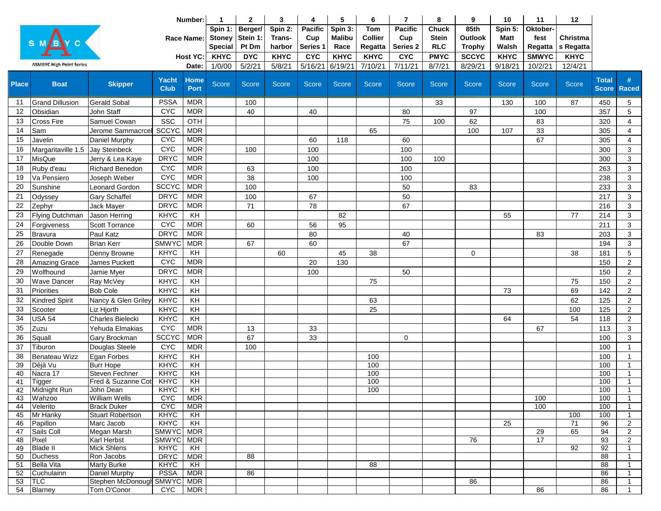| <b>Pacific</b><br><b>Pacific</b><br>85th<br>Spin 1:<br>Berger/<br>Spin 2:<br>Spin 3:<br><b>Tom</b><br><b>Chuck</b><br>Spin 5:<br>Oktober-<br><b>Malibu</b><br><b>Collier</b><br><b>Stoney</b><br>Stein 1:<br><b>Stein</b><br><b>Outlook</b><br>fest<br>Christma<br><b>Race Name:</b><br>Trans-<br>Cup<br>Cup<br>Matt<br>harbor<br>Series <sub>2</sub><br><b>RLC</b><br><b>Special</b><br>Pt Dm<br>Series 1<br>Race<br>Regatta<br><b>Trophy</b><br>Walsh<br>Regatta<br>s Regatta<br><b>KHYC</b><br><b>KHYC</b><br><b>CYC</b><br><b>KHYC</b><br><b>KHYC</b><br><b>KHYC</b><br><b>KHYC</b><br><b>DYC</b><br><b>CYC</b><br><b>PMYC</b><br><b>SCCYC</b><br><b>SMWYC</b><br><b>Host YC:</b><br><b>ASMBYC High Point Series</b><br>5/16/21<br>1/0/00<br>5/2/21<br>5/8/21<br>6/19/21<br>7/10/21<br>7/11/21<br>9/18/21<br>12/4/21<br>8/7/21<br>8/29/21<br>10/2/21<br>Date:<br><b>Home</b><br><b>Total</b><br><b>Yacht</b><br>#<br>Score<br><b>Skipper</b><br><b>Score</b><br><b>Place</b><br><b>Boat</b><br>Score<br><b>Score</b><br><b>Score</b><br><b>Score</b><br><b>Score</b><br><b>Score</b><br><b>Score</b><br>Score<br><b>Score</b><br>Score<br><b>Club</b><br><b>Port</b><br><b>Score</b><br><b>Raced</b><br><b>PSSA</b><br><b>MDR</b><br><b>Gerald Sobal</b><br>87<br>$5\phantom{.0}$<br>11<br><b>Grand Dillusion</b><br>100<br>33<br>130<br>100<br>450<br><b>CYC</b><br><b>MDR</b><br>$5\phantom{.0}$<br>12<br>Obsidian<br>John Staff<br>40<br>80<br>97<br>100<br>357<br>40<br>SSC<br>OTH<br>13<br>Cross Fire<br>75<br>62<br>83<br>320<br>Samuel Cowan<br>100<br>$\overline{4}$<br><b>SCCYC</b><br><b>MDR</b><br>33<br>14<br>Jerome Sammacrcel<br>65<br>100<br>305<br>$\overline{4}$<br>Sam<br>107<br><b>CYC</b><br><b>MDR</b><br>67<br>15<br>60<br>305<br>$\overline{4}$<br>Javelin<br>Daniel Murphy<br>118<br>60<br><b>CYC</b><br><b>MDR</b><br>100<br>100<br>Jay Steinbeck<br>3<br>16<br>Margaritaville 1.5<br>100<br>300<br><b>DRYC</b><br><b>MDR</b><br>$\mathbf{3}$<br>17<br>MisQue<br>100<br>100<br>100<br>300<br>Jerry & Lea Kaye<br><b>CYC</b><br><b>MDR</b><br>100<br>$\mathbf{3}$<br><b>Richard Benedon</b><br>63<br>100<br>263<br>18<br>Ruby d'eau<br><b>CYC</b><br><b>MDR</b><br>38<br>3<br>100<br>238<br>19<br>Va Pensiero<br>Joseph Weber<br>100<br><b>SCCYC</b><br><b>MDR</b><br>20<br>100<br>3<br>Sunshine<br><b>Leonard Gordon</b><br>50<br>83<br>233<br><b>DRYC</b><br><b>MDR</b><br>21<br>50<br><b>Gary Schaffel</b><br>100<br>67<br>217<br>3<br>Odyssey<br><b>MDR</b><br><b>DRYC</b><br>22<br>71<br>78<br>67<br>Jack Mayer<br>216<br>3<br>Zephyr<br>KH<br>23<br><b>KHYC</b><br>214<br>3<br>Flying Dutchman<br>82<br>55<br>77<br>Jason Herring<br><b>MDR</b><br><b>CYC</b><br>95<br>3<br>24<br>Scott Torrance<br>56<br>211<br>Forgiveness<br>60<br><b>DRYC</b><br><b>MDR</b><br>Paul Katz<br>80<br>25<br>Bravura<br>3<br>40<br>83<br>203<br><b>SMWYC</b><br><b>MDR</b><br>60<br>67<br>$\mathbf{3}$<br>26<br><b>Brian Kerr</b><br>67<br>194<br>Double Down<br><b>KHYC</b><br>KH<br>27<br>5<br>Renegade<br>Denny Browne<br>60<br>45<br>38<br>38<br>181<br>0<br><b>CYC</b><br><b>MDR</b><br>$\overline{2}$<br>28<br>James Puckett<br>20<br>130<br>150<br><b>Amazing Grace</b><br><b>DRYC</b><br><b>MDR</b><br>29<br>Wolfhound<br>100<br>50<br>150<br>2<br>Jamie Myer<br>$\overline{2}$<br>30<br><b>KHYC</b><br>KH<br>75<br>150<br><b>Wave Dancer</b><br>Ray McVey<br>75<br>KH<br>$\overline{2}$<br>31<br>Priorities<br><b>KHYC</b><br>69<br>142<br><b>Bob Cole</b><br>73<br>KH<br>62<br>$\overline{2}$<br>32<br><b>KHYC</b><br>125<br><b>Kindred Spirit</b><br>Nancy & Glen Griley<br>63<br>33<br><b>KHYC</b><br>KH<br>25<br>100<br>$\overline{2}$<br>Liz Hjorth<br>125<br>Scooter<br>KH<br>34<br><b>KHYC</b><br>$\overline{2}$<br><b>USA 54</b><br>Charles Bielecki<br>54<br>118<br>64<br><b>CYC</b><br><b>MDR</b><br>35<br>67<br>$\mathbf{3}$<br>Zuzu<br>13<br>33<br>113<br>Yehuda Elmakias<br><b>SCCYC</b><br><b>MDR</b><br>67<br>3<br>36<br>Squall<br>33<br>100<br>Gary Brockman<br>$\mathbf 0$<br>37<br><b>CYC</b><br><b>MDR</b><br>Douglas Steele<br>100<br>100<br>$\mathbf{1}$<br>Tiburon<br><b>KHYC</b><br>38<br>Egan Forbes<br>KH<br>100<br>Benateau Wizz<br>100<br>$\overline{1}$<br>KHYC<br>$\overline{K}$<br>100<br>39<br>Déjà Vu<br><b>Burr Hope</b><br>100<br>$\mathbf{1}$<br>KHYC<br>$\overline{K}$<br>100<br>Nacra 17<br>Steven Fechner<br>100<br>40<br>$\mathbf{1}$<br>KHYC<br>KH<br>100<br>100<br>41<br>Fred & Suzanne Cot<br>$\overline{1}$<br>Tigger<br>42 Midnight Run<br>KHYC   KH<br>100<br>100<br>John Dean<br><b>William Wells</b><br><b>CYC</b><br><b>MDR</b><br>100<br>100<br>43 Wahzoo<br>$\mathbf{1}$<br><b>CAC</b><br>Velerito<br><b>Brack Duker</b><br>MDR<br>100<br>100<br>44<br>$\mathbf{1}$<br>Mr Hanky<br>KHYC<br><b>Stuart Robertson</b><br>KH<br>100<br>100<br>45<br>$\mathbf{1}$<br>71<br>KHYC<br>$\overline{K}$<br>25<br>96<br>2<br>Papillon<br>Marc Jacob<br>46<br>SMWYC MDR<br>29<br>65<br>94<br>Megan Marsh<br>$\overline{2}$<br>47<br>Sails Coll<br>SMWYC MDR<br>17<br>93<br>Pixel<br>Karl Herbst<br>76<br>2<br>48<br><b>Mick Shlens</b><br>92<br>92<br><b>Blade II</b><br><b>KHYC</b><br>KH<br>49<br>$\mathbf{1}$<br>50<br><b>Duchess</b><br>Ron Jacobs<br><b>DRYC</b><br>MDR<br>88<br>88<br>$\mathbf{1}$<br>88<br><b>Bella Vita</b><br><b>Marty Burke</b><br><b>KHYC</b><br>KH<br>88<br>$\mathbf{1}$<br>51<br><b>PSSA</b><br><b>MDR</b><br>Cuchulainn<br>Daniel Murphy<br>86<br>86<br>52<br>$\mathbf{1}$<br>Stephen McDonough SMWYC   MDR<br>53<br>86<br>86<br><b>TLC</b><br>$\overline{1}$<br><b>MDR</b><br>54<br>Blarney<br>Tom O'Conor<br><b>CYC</b><br>86<br>86<br>$\mathbf{1}$ |  |  | Number: |  | $\mathbf{1}$ | 2 | 3 | 4 | 5 | 6 | $\overline{7}$ | 8 | 9 | 10 | 11 | 12 |  |  |
|----------------------------------------------------------------------------------------------------------------------------------------------------------------------------------------------------------------------------------------------------------------------------------------------------------------------------------------------------------------------------------------------------------------------------------------------------------------------------------------------------------------------------------------------------------------------------------------------------------------------------------------------------------------------------------------------------------------------------------------------------------------------------------------------------------------------------------------------------------------------------------------------------------------------------------------------------------------------------------------------------------------------------------------------------------------------------------------------------------------------------------------------------------------------------------------------------------------------------------------------------------------------------------------------------------------------------------------------------------------------------------------------------------------------------------------------------------------------------------------------------------------------------------------------------------------------------------------------------------------------------------------------------------------------------------------------------------------------------------------------------------------------------------------------------------------------------------------------------------------------------------------------------------------------------------------------------------------------------------------------------------------------------------------------------------------------------------------------------------------------------------------------------------------------------------------------------------------------------------------------------------------------------------------------------------------------------------------------------------------------------------------------------------------------------------------------------------------------------------------------------------------------------------------------------------------------------------------------------------------------------------------------------------------------------------------------------------------------------------------------------------------------------------------------------------------------------------------------------------------------------------------------------------------------------------------------------------------------------------------------------------------------------------------------------------------------------------------------------------------------------------------------------------------------------------------------------------------------------------------------------------------------------------------------------------------------------------------------------------------------------------------------------------------------------------------------------------------------------------------------------------------------------------------------------------------------------------------------------------------------------------------------------------------------------------------------------------------------------------------------------------------------------------------------------------------------------------------------------------------------------------------------------------------------------------------------------------------------------------------------------------------------------------------------------------------------------------------------------------------------------------------------------------------------------------------------------------------------------------------------------------------------------------------------------------------------------------------------------------------------------------------------------------------------------------------------------------------------------------------------------------------------------------------------------------------------------------------------------------------------------------------------------------------------------------------------------------------------------------------------------------------------------------------------------------------------------------------------------------------------------------------------------------------------------------------------------------------------------------------------------------------------------------------------------------------------------------------------------------------------------------------------------------------------------------------------------------------------------------------------------------------------------------------------------------------------------------------------------------------------------------------------------------------------------------------------------------------------------------------------------------------------------------------------------------------------------------------------------------------------------------------------------|--|--|---------|--|--------------|---|---|---|---|---|----------------|---|---|----|----|----|--|--|
|                                                                                                                                                                                                                                                                                                                                                                                                                                                                                                                                                                                                                                                                                                                                                                                                                                                                                                                                                                                                                                                                                                                                                                                                                                                                                                                                                                                                                                                                                                                                                                                                                                                                                                                                                                                                                                                                                                                                                                                                                                                                                                                                                                                                                                                                                                                                                                                                                                                                                                                                                                                                                                                                                                                                                                                                                                                                                                                                                                                                                                                                                                                                                                                                                                                                                                                                                                                                                                                                                                                                                                                                                                                                                                                                                                                                                                                                                                                                                                                                                                                                                                                                                                                                                                                                                                                                                                                                                                                                                                                                                                                                                                                                                                                                                                                                                                                                                                                                                                                                                                                                                                                                                                                                                                                                                                                                                                                                                                                                                                                                                                                                                                                    |  |  |         |  |              |   |   |   |   |   |                |   |   |    |    |    |  |  |
|                                                                                                                                                                                                                                                                                                                                                                                                                                                                                                                                                                                                                                                                                                                                                                                                                                                                                                                                                                                                                                                                                                                                                                                                                                                                                                                                                                                                                                                                                                                                                                                                                                                                                                                                                                                                                                                                                                                                                                                                                                                                                                                                                                                                                                                                                                                                                                                                                                                                                                                                                                                                                                                                                                                                                                                                                                                                                                                                                                                                                                                                                                                                                                                                                                                                                                                                                                                                                                                                                                                                                                                                                                                                                                                                                                                                                                                                                                                                                                                                                                                                                                                                                                                                                                                                                                                                                                                                                                                                                                                                                                                                                                                                                                                                                                                                                                                                                                                                                                                                                                                                                                                                                                                                                                                                                                                                                                                                                                                                                                                                                                                                                                                    |  |  |         |  |              |   |   |   |   |   |                |   |   |    |    |    |  |  |
|                                                                                                                                                                                                                                                                                                                                                                                                                                                                                                                                                                                                                                                                                                                                                                                                                                                                                                                                                                                                                                                                                                                                                                                                                                                                                                                                                                                                                                                                                                                                                                                                                                                                                                                                                                                                                                                                                                                                                                                                                                                                                                                                                                                                                                                                                                                                                                                                                                                                                                                                                                                                                                                                                                                                                                                                                                                                                                                                                                                                                                                                                                                                                                                                                                                                                                                                                                                                                                                                                                                                                                                                                                                                                                                                                                                                                                                                                                                                                                                                                                                                                                                                                                                                                                                                                                                                                                                                                                                                                                                                                                                                                                                                                                                                                                                                                                                                                                                                                                                                                                                                                                                                                                                                                                                                                                                                                                                                                                                                                                                                                                                                                                                    |  |  |         |  |              |   |   |   |   |   |                |   |   |    |    |    |  |  |
|                                                                                                                                                                                                                                                                                                                                                                                                                                                                                                                                                                                                                                                                                                                                                                                                                                                                                                                                                                                                                                                                                                                                                                                                                                                                                                                                                                                                                                                                                                                                                                                                                                                                                                                                                                                                                                                                                                                                                                                                                                                                                                                                                                                                                                                                                                                                                                                                                                                                                                                                                                                                                                                                                                                                                                                                                                                                                                                                                                                                                                                                                                                                                                                                                                                                                                                                                                                                                                                                                                                                                                                                                                                                                                                                                                                                                                                                                                                                                                                                                                                                                                                                                                                                                                                                                                                                                                                                                                                                                                                                                                                                                                                                                                                                                                                                                                                                                                                                                                                                                                                                                                                                                                                                                                                                                                                                                                                                                                                                                                                                                                                                                                                    |  |  |         |  |              |   |   |   |   |   |                |   |   |    |    |    |  |  |
|                                                                                                                                                                                                                                                                                                                                                                                                                                                                                                                                                                                                                                                                                                                                                                                                                                                                                                                                                                                                                                                                                                                                                                                                                                                                                                                                                                                                                                                                                                                                                                                                                                                                                                                                                                                                                                                                                                                                                                                                                                                                                                                                                                                                                                                                                                                                                                                                                                                                                                                                                                                                                                                                                                                                                                                                                                                                                                                                                                                                                                                                                                                                                                                                                                                                                                                                                                                                                                                                                                                                                                                                                                                                                                                                                                                                                                                                                                                                                                                                                                                                                                                                                                                                                                                                                                                                                                                                                                                                                                                                                                                                                                                                                                                                                                                                                                                                                                                                                                                                                                                                                                                                                                                                                                                                                                                                                                                                                                                                                                                                                                                                                                                    |  |  |         |  |              |   |   |   |   |   |                |   |   |    |    |    |  |  |
|                                                                                                                                                                                                                                                                                                                                                                                                                                                                                                                                                                                                                                                                                                                                                                                                                                                                                                                                                                                                                                                                                                                                                                                                                                                                                                                                                                                                                                                                                                                                                                                                                                                                                                                                                                                                                                                                                                                                                                                                                                                                                                                                                                                                                                                                                                                                                                                                                                                                                                                                                                                                                                                                                                                                                                                                                                                                                                                                                                                                                                                                                                                                                                                                                                                                                                                                                                                                                                                                                                                                                                                                                                                                                                                                                                                                                                                                                                                                                                                                                                                                                                                                                                                                                                                                                                                                                                                                                                                                                                                                                                                                                                                                                                                                                                                                                                                                                                                                                                                                                                                                                                                                                                                                                                                                                                                                                                                                                                                                                                                                                                                                                                                    |  |  |         |  |              |   |   |   |   |   |                |   |   |    |    |    |  |  |
|                                                                                                                                                                                                                                                                                                                                                                                                                                                                                                                                                                                                                                                                                                                                                                                                                                                                                                                                                                                                                                                                                                                                                                                                                                                                                                                                                                                                                                                                                                                                                                                                                                                                                                                                                                                                                                                                                                                                                                                                                                                                                                                                                                                                                                                                                                                                                                                                                                                                                                                                                                                                                                                                                                                                                                                                                                                                                                                                                                                                                                                                                                                                                                                                                                                                                                                                                                                                                                                                                                                                                                                                                                                                                                                                                                                                                                                                                                                                                                                                                                                                                                                                                                                                                                                                                                                                                                                                                                                                                                                                                                                                                                                                                                                                                                                                                                                                                                                                                                                                                                                                                                                                                                                                                                                                                                                                                                                                                                                                                                                                                                                                                                                    |  |  |         |  |              |   |   |   |   |   |                |   |   |    |    |    |  |  |
|                                                                                                                                                                                                                                                                                                                                                                                                                                                                                                                                                                                                                                                                                                                                                                                                                                                                                                                                                                                                                                                                                                                                                                                                                                                                                                                                                                                                                                                                                                                                                                                                                                                                                                                                                                                                                                                                                                                                                                                                                                                                                                                                                                                                                                                                                                                                                                                                                                                                                                                                                                                                                                                                                                                                                                                                                                                                                                                                                                                                                                                                                                                                                                                                                                                                                                                                                                                                                                                                                                                                                                                                                                                                                                                                                                                                                                                                                                                                                                                                                                                                                                                                                                                                                                                                                                                                                                                                                                                                                                                                                                                                                                                                                                                                                                                                                                                                                                                                                                                                                                                                                                                                                                                                                                                                                                                                                                                                                                                                                                                                                                                                                                                    |  |  |         |  |              |   |   |   |   |   |                |   |   |    |    |    |  |  |
|                                                                                                                                                                                                                                                                                                                                                                                                                                                                                                                                                                                                                                                                                                                                                                                                                                                                                                                                                                                                                                                                                                                                                                                                                                                                                                                                                                                                                                                                                                                                                                                                                                                                                                                                                                                                                                                                                                                                                                                                                                                                                                                                                                                                                                                                                                                                                                                                                                                                                                                                                                                                                                                                                                                                                                                                                                                                                                                                                                                                                                                                                                                                                                                                                                                                                                                                                                                                                                                                                                                                                                                                                                                                                                                                                                                                                                                                                                                                                                                                                                                                                                                                                                                                                                                                                                                                                                                                                                                                                                                                                                                                                                                                                                                                                                                                                                                                                                                                                                                                                                                                                                                                                                                                                                                                                                                                                                                                                                                                                                                                                                                                                                                    |  |  |         |  |              |   |   |   |   |   |                |   |   |    |    |    |  |  |
|                                                                                                                                                                                                                                                                                                                                                                                                                                                                                                                                                                                                                                                                                                                                                                                                                                                                                                                                                                                                                                                                                                                                                                                                                                                                                                                                                                                                                                                                                                                                                                                                                                                                                                                                                                                                                                                                                                                                                                                                                                                                                                                                                                                                                                                                                                                                                                                                                                                                                                                                                                                                                                                                                                                                                                                                                                                                                                                                                                                                                                                                                                                                                                                                                                                                                                                                                                                                                                                                                                                                                                                                                                                                                                                                                                                                                                                                                                                                                                                                                                                                                                                                                                                                                                                                                                                                                                                                                                                                                                                                                                                                                                                                                                                                                                                                                                                                                                                                                                                                                                                                                                                                                                                                                                                                                                                                                                                                                                                                                                                                                                                                                                                    |  |  |         |  |              |   |   |   |   |   |                |   |   |    |    |    |  |  |
|                                                                                                                                                                                                                                                                                                                                                                                                                                                                                                                                                                                                                                                                                                                                                                                                                                                                                                                                                                                                                                                                                                                                                                                                                                                                                                                                                                                                                                                                                                                                                                                                                                                                                                                                                                                                                                                                                                                                                                                                                                                                                                                                                                                                                                                                                                                                                                                                                                                                                                                                                                                                                                                                                                                                                                                                                                                                                                                                                                                                                                                                                                                                                                                                                                                                                                                                                                                                                                                                                                                                                                                                                                                                                                                                                                                                                                                                                                                                                                                                                                                                                                                                                                                                                                                                                                                                                                                                                                                                                                                                                                                                                                                                                                                                                                                                                                                                                                                                                                                                                                                                                                                                                                                                                                                                                                                                                                                                                                                                                                                                                                                                                                                    |  |  |         |  |              |   |   |   |   |   |                |   |   |    |    |    |  |  |
|                                                                                                                                                                                                                                                                                                                                                                                                                                                                                                                                                                                                                                                                                                                                                                                                                                                                                                                                                                                                                                                                                                                                                                                                                                                                                                                                                                                                                                                                                                                                                                                                                                                                                                                                                                                                                                                                                                                                                                                                                                                                                                                                                                                                                                                                                                                                                                                                                                                                                                                                                                                                                                                                                                                                                                                                                                                                                                                                                                                                                                                                                                                                                                                                                                                                                                                                                                                                                                                                                                                                                                                                                                                                                                                                                                                                                                                                                                                                                                                                                                                                                                                                                                                                                                                                                                                                                                                                                                                                                                                                                                                                                                                                                                                                                                                                                                                                                                                                                                                                                                                                                                                                                                                                                                                                                                                                                                                                                                                                                                                                                                                                                                                    |  |  |         |  |              |   |   |   |   |   |                |   |   |    |    |    |  |  |
|                                                                                                                                                                                                                                                                                                                                                                                                                                                                                                                                                                                                                                                                                                                                                                                                                                                                                                                                                                                                                                                                                                                                                                                                                                                                                                                                                                                                                                                                                                                                                                                                                                                                                                                                                                                                                                                                                                                                                                                                                                                                                                                                                                                                                                                                                                                                                                                                                                                                                                                                                                                                                                                                                                                                                                                                                                                                                                                                                                                                                                                                                                                                                                                                                                                                                                                                                                                                                                                                                                                                                                                                                                                                                                                                                                                                                                                                                                                                                                                                                                                                                                                                                                                                                                                                                                                                                                                                                                                                                                                                                                                                                                                                                                                                                                                                                                                                                                                                                                                                                                                                                                                                                                                                                                                                                                                                                                                                                                                                                                                                                                                                                                                    |  |  |         |  |              |   |   |   |   |   |                |   |   |    |    |    |  |  |
|                                                                                                                                                                                                                                                                                                                                                                                                                                                                                                                                                                                                                                                                                                                                                                                                                                                                                                                                                                                                                                                                                                                                                                                                                                                                                                                                                                                                                                                                                                                                                                                                                                                                                                                                                                                                                                                                                                                                                                                                                                                                                                                                                                                                                                                                                                                                                                                                                                                                                                                                                                                                                                                                                                                                                                                                                                                                                                                                                                                                                                                                                                                                                                                                                                                                                                                                                                                                                                                                                                                                                                                                                                                                                                                                                                                                                                                                                                                                                                                                                                                                                                                                                                                                                                                                                                                                                                                                                                                                                                                                                                                                                                                                                                                                                                                                                                                                                                                                                                                                                                                                                                                                                                                                                                                                                                                                                                                                                                                                                                                                                                                                                                                    |  |  |         |  |              |   |   |   |   |   |                |   |   |    |    |    |  |  |
|                                                                                                                                                                                                                                                                                                                                                                                                                                                                                                                                                                                                                                                                                                                                                                                                                                                                                                                                                                                                                                                                                                                                                                                                                                                                                                                                                                                                                                                                                                                                                                                                                                                                                                                                                                                                                                                                                                                                                                                                                                                                                                                                                                                                                                                                                                                                                                                                                                                                                                                                                                                                                                                                                                                                                                                                                                                                                                                                                                                                                                                                                                                                                                                                                                                                                                                                                                                                                                                                                                                                                                                                                                                                                                                                                                                                                                                                                                                                                                                                                                                                                                                                                                                                                                                                                                                                                                                                                                                                                                                                                                                                                                                                                                                                                                                                                                                                                                                                                                                                                                                                                                                                                                                                                                                                                                                                                                                                                                                                                                                                                                                                                                                    |  |  |         |  |              |   |   |   |   |   |                |   |   |    |    |    |  |  |
|                                                                                                                                                                                                                                                                                                                                                                                                                                                                                                                                                                                                                                                                                                                                                                                                                                                                                                                                                                                                                                                                                                                                                                                                                                                                                                                                                                                                                                                                                                                                                                                                                                                                                                                                                                                                                                                                                                                                                                                                                                                                                                                                                                                                                                                                                                                                                                                                                                                                                                                                                                                                                                                                                                                                                                                                                                                                                                                                                                                                                                                                                                                                                                                                                                                                                                                                                                                                                                                                                                                                                                                                                                                                                                                                                                                                                                                                                                                                                                                                                                                                                                                                                                                                                                                                                                                                                                                                                                                                                                                                                                                                                                                                                                                                                                                                                                                                                                                                                                                                                                                                                                                                                                                                                                                                                                                                                                                                                                                                                                                                                                                                                                                    |  |  |         |  |              |   |   |   |   |   |                |   |   |    |    |    |  |  |
|                                                                                                                                                                                                                                                                                                                                                                                                                                                                                                                                                                                                                                                                                                                                                                                                                                                                                                                                                                                                                                                                                                                                                                                                                                                                                                                                                                                                                                                                                                                                                                                                                                                                                                                                                                                                                                                                                                                                                                                                                                                                                                                                                                                                                                                                                                                                                                                                                                                                                                                                                                                                                                                                                                                                                                                                                                                                                                                                                                                                                                                                                                                                                                                                                                                                                                                                                                                                                                                                                                                                                                                                                                                                                                                                                                                                                                                                                                                                                                                                                                                                                                                                                                                                                                                                                                                                                                                                                                                                                                                                                                                                                                                                                                                                                                                                                                                                                                                                                                                                                                                                                                                                                                                                                                                                                                                                                                                                                                                                                                                                                                                                                                                    |  |  |         |  |              |   |   |   |   |   |                |   |   |    |    |    |  |  |
|                                                                                                                                                                                                                                                                                                                                                                                                                                                                                                                                                                                                                                                                                                                                                                                                                                                                                                                                                                                                                                                                                                                                                                                                                                                                                                                                                                                                                                                                                                                                                                                                                                                                                                                                                                                                                                                                                                                                                                                                                                                                                                                                                                                                                                                                                                                                                                                                                                                                                                                                                                                                                                                                                                                                                                                                                                                                                                                                                                                                                                                                                                                                                                                                                                                                                                                                                                                                                                                                                                                                                                                                                                                                                                                                                                                                                                                                                                                                                                                                                                                                                                                                                                                                                                                                                                                                                                                                                                                                                                                                                                                                                                                                                                                                                                                                                                                                                                                                                                                                                                                                                                                                                                                                                                                                                                                                                                                                                                                                                                                                                                                                                                                    |  |  |         |  |              |   |   |   |   |   |                |   |   |    |    |    |  |  |
|                                                                                                                                                                                                                                                                                                                                                                                                                                                                                                                                                                                                                                                                                                                                                                                                                                                                                                                                                                                                                                                                                                                                                                                                                                                                                                                                                                                                                                                                                                                                                                                                                                                                                                                                                                                                                                                                                                                                                                                                                                                                                                                                                                                                                                                                                                                                                                                                                                                                                                                                                                                                                                                                                                                                                                                                                                                                                                                                                                                                                                                                                                                                                                                                                                                                                                                                                                                                                                                                                                                                                                                                                                                                                                                                                                                                                                                                                                                                                                                                                                                                                                                                                                                                                                                                                                                                                                                                                                                                                                                                                                                                                                                                                                                                                                                                                                                                                                                                                                                                                                                                                                                                                                                                                                                                                                                                                                                                                                                                                                                                                                                                                                                    |  |  |         |  |              |   |   |   |   |   |                |   |   |    |    |    |  |  |
|                                                                                                                                                                                                                                                                                                                                                                                                                                                                                                                                                                                                                                                                                                                                                                                                                                                                                                                                                                                                                                                                                                                                                                                                                                                                                                                                                                                                                                                                                                                                                                                                                                                                                                                                                                                                                                                                                                                                                                                                                                                                                                                                                                                                                                                                                                                                                                                                                                                                                                                                                                                                                                                                                                                                                                                                                                                                                                                                                                                                                                                                                                                                                                                                                                                                                                                                                                                                                                                                                                                                                                                                                                                                                                                                                                                                                                                                                                                                                                                                                                                                                                                                                                                                                                                                                                                                                                                                                                                                                                                                                                                                                                                                                                                                                                                                                                                                                                                                                                                                                                                                                                                                                                                                                                                                                                                                                                                                                                                                                                                                                                                                                                                    |  |  |         |  |              |   |   |   |   |   |                |   |   |    |    |    |  |  |
|                                                                                                                                                                                                                                                                                                                                                                                                                                                                                                                                                                                                                                                                                                                                                                                                                                                                                                                                                                                                                                                                                                                                                                                                                                                                                                                                                                                                                                                                                                                                                                                                                                                                                                                                                                                                                                                                                                                                                                                                                                                                                                                                                                                                                                                                                                                                                                                                                                                                                                                                                                                                                                                                                                                                                                                                                                                                                                                                                                                                                                                                                                                                                                                                                                                                                                                                                                                                                                                                                                                                                                                                                                                                                                                                                                                                                                                                                                                                                                                                                                                                                                                                                                                                                                                                                                                                                                                                                                                                                                                                                                                                                                                                                                                                                                                                                                                                                                                                                                                                                                                                                                                                                                                                                                                                                                                                                                                                                                                                                                                                                                                                                                                    |  |  |         |  |              |   |   |   |   |   |                |   |   |    |    |    |  |  |
|                                                                                                                                                                                                                                                                                                                                                                                                                                                                                                                                                                                                                                                                                                                                                                                                                                                                                                                                                                                                                                                                                                                                                                                                                                                                                                                                                                                                                                                                                                                                                                                                                                                                                                                                                                                                                                                                                                                                                                                                                                                                                                                                                                                                                                                                                                                                                                                                                                                                                                                                                                                                                                                                                                                                                                                                                                                                                                                                                                                                                                                                                                                                                                                                                                                                                                                                                                                                                                                                                                                                                                                                                                                                                                                                                                                                                                                                                                                                                                                                                                                                                                                                                                                                                                                                                                                                                                                                                                                                                                                                                                                                                                                                                                                                                                                                                                                                                                                                                                                                                                                                                                                                                                                                                                                                                                                                                                                                                                                                                                                                                                                                                                                    |  |  |         |  |              |   |   |   |   |   |                |   |   |    |    |    |  |  |
|                                                                                                                                                                                                                                                                                                                                                                                                                                                                                                                                                                                                                                                                                                                                                                                                                                                                                                                                                                                                                                                                                                                                                                                                                                                                                                                                                                                                                                                                                                                                                                                                                                                                                                                                                                                                                                                                                                                                                                                                                                                                                                                                                                                                                                                                                                                                                                                                                                                                                                                                                                                                                                                                                                                                                                                                                                                                                                                                                                                                                                                                                                                                                                                                                                                                                                                                                                                                                                                                                                                                                                                                                                                                                                                                                                                                                                                                                                                                                                                                                                                                                                                                                                                                                                                                                                                                                                                                                                                                                                                                                                                                                                                                                                                                                                                                                                                                                                                                                                                                                                                                                                                                                                                                                                                                                                                                                                                                                                                                                                                                                                                                                                                    |  |  |         |  |              |   |   |   |   |   |                |   |   |    |    |    |  |  |
|                                                                                                                                                                                                                                                                                                                                                                                                                                                                                                                                                                                                                                                                                                                                                                                                                                                                                                                                                                                                                                                                                                                                                                                                                                                                                                                                                                                                                                                                                                                                                                                                                                                                                                                                                                                                                                                                                                                                                                                                                                                                                                                                                                                                                                                                                                                                                                                                                                                                                                                                                                                                                                                                                                                                                                                                                                                                                                                                                                                                                                                                                                                                                                                                                                                                                                                                                                                                                                                                                                                                                                                                                                                                                                                                                                                                                                                                                                                                                                                                                                                                                                                                                                                                                                                                                                                                                                                                                                                                                                                                                                                                                                                                                                                                                                                                                                                                                                                                                                                                                                                                                                                                                                                                                                                                                                                                                                                                                                                                                                                                                                                                                                                    |  |  |         |  |              |   |   |   |   |   |                |   |   |    |    |    |  |  |
|                                                                                                                                                                                                                                                                                                                                                                                                                                                                                                                                                                                                                                                                                                                                                                                                                                                                                                                                                                                                                                                                                                                                                                                                                                                                                                                                                                                                                                                                                                                                                                                                                                                                                                                                                                                                                                                                                                                                                                                                                                                                                                                                                                                                                                                                                                                                                                                                                                                                                                                                                                                                                                                                                                                                                                                                                                                                                                                                                                                                                                                                                                                                                                                                                                                                                                                                                                                                                                                                                                                                                                                                                                                                                                                                                                                                                                                                                                                                                                                                                                                                                                                                                                                                                                                                                                                                                                                                                                                                                                                                                                                                                                                                                                                                                                                                                                                                                                                                                                                                                                                                                                                                                                                                                                                                                                                                                                                                                                                                                                                                                                                                                                                    |  |  |         |  |              |   |   |   |   |   |                |   |   |    |    |    |  |  |
|                                                                                                                                                                                                                                                                                                                                                                                                                                                                                                                                                                                                                                                                                                                                                                                                                                                                                                                                                                                                                                                                                                                                                                                                                                                                                                                                                                                                                                                                                                                                                                                                                                                                                                                                                                                                                                                                                                                                                                                                                                                                                                                                                                                                                                                                                                                                                                                                                                                                                                                                                                                                                                                                                                                                                                                                                                                                                                                                                                                                                                                                                                                                                                                                                                                                                                                                                                                                                                                                                                                                                                                                                                                                                                                                                                                                                                                                                                                                                                                                                                                                                                                                                                                                                                                                                                                                                                                                                                                                                                                                                                                                                                                                                                                                                                                                                                                                                                                                                                                                                                                                                                                                                                                                                                                                                                                                                                                                                                                                                                                                                                                                                                                    |  |  |         |  |              |   |   |   |   |   |                |   |   |    |    |    |  |  |
|                                                                                                                                                                                                                                                                                                                                                                                                                                                                                                                                                                                                                                                                                                                                                                                                                                                                                                                                                                                                                                                                                                                                                                                                                                                                                                                                                                                                                                                                                                                                                                                                                                                                                                                                                                                                                                                                                                                                                                                                                                                                                                                                                                                                                                                                                                                                                                                                                                                                                                                                                                                                                                                                                                                                                                                                                                                                                                                                                                                                                                                                                                                                                                                                                                                                                                                                                                                                                                                                                                                                                                                                                                                                                                                                                                                                                                                                                                                                                                                                                                                                                                                                                                                                                                                                                                                                                                                                                                                                                                                                                                                                                                                                                                                                                                                                                                                                                                                                                                                                                                                                                                                                                                                                                                                                                                                                                                                                                                                                                                                                                                                                                                                    |  |  |         |  |              |   |   |   |   |   |                |   |   |    |    |    |  |  |
|                                                                                                                                                                                                                                                                                                                                                                                                                                                                                                                                                                                                                                                                                                                                                                                                                                                                                                                                                                                                                                                                                                                                                                                                                                                                                                                                                                                                                                                                                                                                                                                                                                                                                                                                                                                                                                                                                                                                                                                                                                                                                                                                                                                                                                                                                                                                                                                                                                                                                                                                                                                                                                                                                                                                                                                                                                                                                                                                                                                                                                                                                                                                                                                                                                                                                                                                                                                                                                                                                                                                                                                                                                                                                                                                                                                                                                                                                                                                                                                                                                                                                                                                                                                                                                                                                                                                                                                                                                                                                                                                                                                                                                                                                                                                                                                                                                                                                                                                                                                                                                                                                                                                                                                                                                                                                                                                                                                                                                                                                                                                                                                                                                                    |  |  |         |  |              |   |   |   |   |   |                |   |   |    |    |    |  |  |
|                                                                                                                                                                                                                                                                                                                                                                                                                                                                                                                                                                                                                                                                                                                                                                                                                                                                                                                                                                                                                                                                                                                                                                                                                                                                                                                                                                                                                                                                                                                                                                                                                                                                                                                                                                                                                                                                                                                                                                                                                                                                                                                                                                                                                                                                                                                                                                                                                                                                                                                                                                                                                                                                                                                                                                                                                                                                                                                                                                                                                                                                                                                                                                                                                                                                                                                                                                                                                                                                                                                                                                                                                                                                                                                                                                                                                                                                                                                                                                                                                                                                                                                                                                                                                                                                                                                                                                                                                                                                                                                                                                                                                                                                                                                                                                                                                                                                                                                                                                                                                                                                                                                                                                                                                                                                                                                                                                                                                                                                                                                                                                                                                                                    |  |  |         |  |              |   |   |   |   |   |                |   |   |    |    |    |  |  |
|                                                                                                                                                                                                                                                                                                                                                                                                                                                                                                                                                                                                                                                                                                                                                                                                                                                                                                                                                                                                                                                                                                                                                                                                                                                                                                                                                                                                                                                                                                                                                                                                                                                                                                                                                                                                                                                                                                                                                                                                                                                                                                                                                                                                                                                                                                                                                                                                                                                                                                                                                                                                                                                                                                                                                                                                                                                                                                                                                                                                                                                                                                                                                                                                                                                                                                                                                                                                                                                                                                                                                                                                                                                                                                                                                                                                                                                                                                                                                                                                                                                                                                                                                                                                                                                                                                                                                                                                                                                                                                                                                                                                                                                                                                                                                                                                                                                                                                                                                                                                                                                                                                                                                                                                                                                                                                                                                                                                                                                                                                                                                                                                                                                    |  |  |         |  |              |   |   |   |   |   |                |   |   |    |    |    |  |  |
|                                                                                                                                                                                                                                                                                                                                                                                                                                                                                                                                                                                                                                                                                                                                                                                                                                                                                                                                                                                                                                                                                                                                                                                                                                                                                                                                                                                                                                                                                                                                                                                                                                                                                                                                                                                                                                                                                                                                                                                                                                                                                                                                                                                                                                                                                                                                                                                                                                                                                                                                                                                                                                                                                                                                                                                                                                                                                                                                                                                                                                                                                                                                                                                                                                                                                                                                                                                                                                                                                                                                                                                                                                                                                                                                                                                                                                                                                                                                                                                                                                                                                                                                                                                                                                                                                                                                                                                                                                                                                                                                                                                                                                                                                                                                                                                                                                                                                                                                                                                                                                                                                                                                                                                                                                                                                                                                                                                                                                                                                                                                                                                                                                                    |  |  |         |  |              |   |   |   |   |   |                |   |   |    |    |    |  |  |
|                                                                                                                                                                                                                                                                                                                                                                                                                                                                                                                                                                                                                                                                                                                                                                                                                                                                                                                                                                                                                                                                                                                                                                                                                                                                                                                                                                                                                                                                                                                                                                                                                                                                                                                                                                                                                                                                                                                                                                                                                                                                                                                                                                                                                                                                                                                                                                                                                                                                                                                                                                                                                                                                                                                                                                                                                                                                                                                                                                                                                                                                                                                                                                                                                                                                                                                                                                                                                                                                                                                                                                                                                                                                                                                                                                                                                                                                                                                                                                                                                                                                                                                                                                                                                                                                                                                                                                                                                                                                                                                                                                                                                                                                                                                                                                                                                                                                                                                                                                                                                                                                                                                                                                                                                                                                                                                                                                                                                                                                                                                                                                                                                                                    |  |  |         |  |              |   |   |   |   |   |                |   |   |    |    |    |  |  |
|                                                                                                                                                                                                                                                                                                                                                                                                                                                                                                                                                                                                                                                                                                                                                                                                                                                                                                                                                                                                                                                                                                                                                                                                                                                                                                                                                                                                                                                                                                                                                                                                                                                                                                                                                                                                                                                                                                                                                                                                                                                                                                                                                                                                                                                                                                                                                                                                                                                                                                                                                                                                                                                                                                                                                                                                                                                                                                                                                                                                                                                                                                                                                                                                                                                                                                                                                                                                                                                                                                                                                                                                                                                                                                                                                                                                                                                                                                                                                                                                                                                                                                                                                                                                                                                                                                                                                                                                                                                                                                                                                                                                                                                                                                                                                                                                                                                                                                                                                                                                                                                                                                                                                                                                                                                                                                                                                                                                                                                                                                                                                                                                                                                    |  |  |         |  |              |   |   |   |   |   |                |   |   |    |    |    |  |  |
|                                                                                                                                                                                                                                                                                                                                                                                                                                                                                                                                                                                                                                                                                                                                                                                                                                                                                                                                                                                                                                                                                                                                                                                                                                                                                                                                                                                                                                                                                                                                                                                                                                                                                                                                                                                                                                                                                                                                                                                                                                                                                                                                                                                                                                                                                                                                                                                                                                                                                                                                                                                                                                                                                                                                                                                                                                                                                                                                                                                                                                                                                                                                                                                                                                                                                                                                                                                                                                                                                                                                                                                                                                                                                                                                                                                                                                                                                                                                                                                                                                                                                                                                                                                                                                                                                                                                                                                                                                                                                                                                                                                                                                                                                                                                                                                                                                                                                                                                                                                                                                                                                                                                                                                                                                                                                                                                                                                                                                                                                                                                                                                                                                                    |  |  |         |  |              |   |   |   |   |   |                |   |   |    |    |    |  |  |
|                                                                                                                                                                                                                                                                                                                                                                                                                                                                                                                                                                                                                                                                                                                                                                                                                                                                                                                                                                                                                                                                                                                                                                                                                                                                                                                                                                                                                                                                                                                                                                                                                                                                                                                                                                                                                                                                                                                                                                                                                                                                                                                                                                                                                                                                                                                                                                                                                                                                                                                                                                                                                                                                                                                                                                                                                                                                                                                                                                                                                                                                                                                                                                                                                                                                                                                                                                                                                                                                                                                                                                                                                                                                                                                                                                                                                                                                                                                                                                                                                                                                                                                                                                                                                                                                                                                                                                                                                                                                                                                                                                                                                                                                                                                                                                                                                                                                                                                                                                                                                                                                                                                                                                                                                                                                                                                                                                                                                                                                                                                                                                                                                                                    |  |  |         |  |              |   |   |   |   |   |                |   |   |    |    |    |  |  |
|                                                                                                                                                                                                                                                                                                                                                                                                                                                                                                                                                                                                                                                                                                                                                                                                                                                                                                                                                                                                                                                                                                                                                                                                                                                                                                                                                                                                                                                                                                                                                                                                                                                                                                                                                                                                                                                                                                                                                                                                                                                                                                                                                                                                                                                                                                                                                                                                                                                                                                                                                                                                                                                                                                                                                                                                                                                                                                                                                                                                                                                                                                                                                                                                                                                                                                                                                                                                                                                                                                                                                                                                                                                                                                                                                                                                                                                                                                                                                                                                                                                                                                                                                                                                                                                                                                                                                                                                                                                                                                                                                                                                                                                                                                                                                                                                                                                                                                                                                                                                                                                                                                                                                                                                                                                                                                                                                                                                                                                                                                                                                                                                                                                    |  |  |         |  |              |   |   |   |   |   |                |   |   |    |    |    |  |  |
|                                                                                                                                                                                                                                                                                                                                                                                                                                                                                                                                                                                                                                                                                                                                                                                                                                                                                                                                                                                                                                                                                                                                                                                                                                                                                                                                                                                                                                                                                                                                                                                                                                                                                                                                                                                                                                                                                                                                                                                                                                                                                                                                                                                                                                                                                                                                                                                                                                                                                                                                                                                                                                                                                                                                                                                                                                                                                                                                                                                                                                                                                                                                                                                                                                                                                                                                                                                                                                                                                                                                                                                                                                                                                                                                                                                                                                                                                                                                                                                                                                                                                                                                                                                                                                                                                                                                                                                                                                                                                                                                                                                                                                                                                                                                                                                                                                                                                                                                                                                                                                                                                                                                                                                                                                                                                                                                                                                                                                                                                                                                                                                                                                                    |  |  |         |  |              |   |   |   |   |   |                |   |   |    |    |    |  |  |
|                                                                                                                                                                                                                                                                                                                                                                                                                                                                                                                                                                                                                                                                                                                                                                                                                                                                                                                                                                                                                                                                                                                                                                                                                                                                                                                                                                                                                                                                                                                                                                                                                                                                                                                                                                                                                                                                                                                                                                                                                                                                                                                                                                                                                                                                                                                                                                                                                                                                                                                                                                                                                                                                                                                                                                                                                                                                                                                                                                                                                                                                                                                                                                                                                                                                                                                                                                                                                                                                                                                                                                                                                                                                                                                                                                                                                                                                                                                                                                                                                                                                                                                                                                                                                                                                                                                                                                                                                                                                                                                                                                                                                                                                                                                                                                                                                                                                                                                                                                                                                                                                                                                                                                                                                                                                                                                                                                                                                                                                                                                                                                                                                                                    |  |  |         |  |              |   |   |   |   |   |                |   |   |    |    |    |  |  |
|                                                                                                                                                                                                                                                                                                                                                                                                                                                                                                                                                                                                                                                                                                                                                                                                                                                                                                                                                                                                                                                                                                                                                                                                                                                                                                                                                                                                                                                                                                                                                                                                                                                                                                                                                                                                                                                                                                                                                                                                                                                                                                                                                                                                                                                                                                                                                                                                                                                                                                                                                                                                                                                                                                                                                                                                                                                                                                                                                                                                                                                                                                                                                                                                                                                                                                                                                                                                                                                                                                                                                                                                                                                                                                                                                                                                                                                                                                                                                                                                                                                                                                                                                                                                                                                                                                                                                                                                                                                                                                                                                                                                                                                                                                                                                                                                                                                                                                                                                                                                                                                                                                                                                                                                                                                                                                                                                                                                                                                                                                                                                                                                                                                    |  |  |         |  |              |   |   |   |   |   |                |   |   |    |    |    |  |  |
|                                                                                                                                                                                                                                                                                                                                                                                                                                                                                                                                                                                                                                                                                                                                                                                                                                                                                                                                                                                                                                                                                                                                                                                                                                                                                                                                                                                                                                                                                                                                                                                                                                                                                                                                                                                                                                                                                                                                                                                                                                                                                                                                                                                                                                                                                                                                                                                                                                                                                                                                                                                                                                                                                                                                                                                                                                                                                                                                                                                                                                                                                                                                                                                                                                                                                                                                                                                                                                                                                                                                                                                                                                                                                                                                                                                                                                                                                                                                                                                                                                                                                                                                                                                                                                                                                                                                                                                                                                                                                                                                                                                                                                                                                                                                                                                                                                                                                                                                                                                                                                                                                                                                                                                                                                                                                                                                                                                                                                                                                                                                                                                                                                                    |  |  |         |  |              |   |   |   |   |   |                |   |   |    |    |    |  |  |
|                                                                                                                                                                                                                                                                                                                                                                                                                                                                                                                                                                                                                                                                                                                                                                                                                                                                                                                                                                                                                                                                                                                                                                                                                                                                                                                                                                                                                                                                                                                                                                                                                                                                                                                                                                                                                                                                                                                                                                                                                                                                                                                                                                                                                                                                                                                                                                                                                                                                                                                                                                                                                                                                                                                                                                                                                                                                                                                                                                                                                                                                                                                                                                                                                                                                                                                                                                                                                                                                                                                                                                                                                                                                                                                                                                                                                                                                                                                                                                                                                                                                                                                                                                                                                                                                                                                                                                                                                                                                                                                                                                                                                                                                                                                                                                                                                                                                                                                                                                                                                                                                                                                                                                                                                                                                                                                                                                                                                                                                                                                                                                                                                                                    |  |  |         |  |              |   |   |   |   |   |                |   |   |    |    |    |  |  |
|                                                                                                                                                                                                                                                                                                                                                                                                                                                                                                                                                                                                                                                                                                                                                                                                                                                                                                                                                                                                                                                                                                                                                                                                                                                                                                                                                                                                                                                                                                                                                                                                                                                                                                                                                                                                                                                                                                                                                                                                                                                                                                                                                                                                                                                                                                                                                                                                                                                                                                                                                                                                                                                                                                                                                                                                                                                                                                                                                                                                                                                                                                                                                                                                                                                                                                                                                                                                                                                                                                                                                                                                                                                                                                                                                                                                                                                                                                                                                                                                                                                                                                                                                                                                                                                                                                                                                                                                                                                                                                                                                                                                                                                                                                                                                                                                                                                                                                                                                                                                                                                                                                                                                                                                                                                                                                                                                                                                                                                                                                                                                                                                                                                    |  |  |         |  |              |   |   |   |   |   |                |   |   |    |    |    |  |  |
|                                                                                                                                                                                                                                                                                                                                                                                                                                                                                                                                                                                                                                                                                                                                                                                                                                                                                                                                                                                                                                                                                                                                                                                                                                                                                                                                                                                                                                                                                                                                                                                                                                                                                                                                                                                                                                                                                                                                                                                                                                                                                                                                                                                                                                                                                                                                                                                                                                                                                                                                                                                                                                                                                                                                                                                                                                                                                                                                                                                                                                                                                                                                                                                                                                                                                                                                                                                                                                                                                                                                                                                                                                                                                                                                                                                                                                                                                                                                                                                                                                                                                                                                                                                                                                                                                                                                                                                                                                                                                                                                                                                                                                                                                                                                                                                                                                                                                                                                                                                                                                                                                                                                                                                                                                                                                                                                                                                                                                                                                                                                                                                                                                                    |  |  |         |  |              |   |   |   |   |   |                |   |   |    |    |    |  |  |
|                                                                                                                                                                                                                                                                                                                                                                                                                                                                                                                                                                                                                                                                                                                                                                                                                                                                                                                                                                                                                                                                                                                                                                                                                                                                                                                                                                                                                                                                                                                                                                                                                                                                                                                                                                                                                                                                                                                                                                                                                                                                                                                                                                                                                                                                                                                                                                                                                                                                                                                                                                                                                                                                                                                                                                                                                                                                                                                                                                                                                                                                                                                                                                                                                                                                                                                                                                                                                                                                                                                                                                                                                                                                                                                                                                                                                                                                                                                                                                                                                                                                                                                                                                                                                                                                                                                                                                                                                                                                                                                                                                                                                                                                                                                                                                                                                                                                                                                                                                                                                                                                                                                                                                                                                                                                                                                                                                                                                                                                                                                                                                                                                                                    |  |  |         |  |              |   |   |   |   |   |                |   |   |    |    |    |  |  |
|                                                                                                                                                                                                                                                                                                                                                                                                                                                                                                                                                                                                                                                                                                                                                                                                                                                                                                                                                                                                                                                                                                                                                                                                                                                                                                                                                                                                                                                                                                                                                                                                                                                                                                                                                                                                                                                                                                                                                                                                                                                                                                                                                                                                                                                                                                                                                                                                                                                                                                                                                                                                                                                                                                                                                                                                                                                                                                                                                                                                                                                                                                                                                                                                                                                                                                                                                                                                                                                                                                                                                                                                                                                                                                                                                                                                                                                                                                                                                                                                                                                                                                                                                                                                                                                                                                                                                                                                                                                                                                                                                                                                                                                                                                                                                                                                                                                                                                                                                                                                                                                                                                                                                                                                                                                                                                                                                                                                                                                                                                                                                                                                                                                    |  |  |         |  |              |   |   |   |   |   |                |   |   |    |    |    |  |  |
|                                                                                                                                                                                                                                                                                                                                                                                                                                                                                                                                                                                                                                                                                                                                                                                                                                                                                                                                                                                                                                                                                                                                                                                                                                                                                                                                                                                                                                                                                                                                                                                                                                                                                                                                                                                                                                                                                                                                                                                                                                                                                                                                                                                                                                                                                                                                                                                                                                                                                                                                                                                                                                                                                                                                                                                                                                                                                                                                                                                                                                                                                                                                                                                                                                                                                                                                                                                                                                                                                                                                                                                                                                                                                                                                                                                                                                                                                                                                                                                                                                                                                                                                                                                                                                                                                                                                                                                                                                                                                                                                                                                                                                                                                                                                                                                                                                                                                                                                                                                                                                                                                                                                                                                                                                                                                                                                                                                                                                                                                                                                                                                                                                                    |  |  |         |  |              |   |   |   |   |   |                |   |   |    |    |    |  |  |
|                                                                                                                                                                                                                                                                                                                                                                                                                                                                                                                                                                                                                                                                                                                                                                                                                                                                                                                                                                                                                                                                                                                                                                                                                                                                                                                                                                                                                                                                                                                                                                                                                                                                                                                                                                                                                                                                                                                                                                                                                                                                                                                                                                                                                                                                                                                                                                                                                                                                                                                                                                                                                                                                                                                                                                                                                                                                                                                                                                                                                                                                                                                                                                                                                                                                                                                                                                                                                                                                                                                                                                                                                                                                                                                                                                                                                                                                                                                                                                                                                                                                                                                                                                                                                                                                                                                                                                                                                                                                                                                                                                                                                                                                                                                                                                                                                                                                                                                                                                                                                                                                                                                                                                                                                                                                                                                                                                                                                                                                                                                                                                                                                                                    |  |  |         |  |              |   |   |   |   |   |                |   |   |    |    |    |  |  |
|                                                                                                                                                                                                                                                                                                                                                                                                                                                                                                                                                                                                                                                                                                                                                                                                                                                                                                                                                                                                                                                                                                                                                                                                                                                                                                                                                                                                                                                                                                                                                                                                                                                                                                                                                                                                                                                                                                                                                                                                                                                                                                                                                                                                                                                                                                                                                                                                                                                                                                                                                                                                                                                                                                                                                                                                                                                                                                                                                                                                                                                                                                                                                                                                                                                                                                                                                                                                                                                                                                                                                                                                                                                                                                                                                                                                                                                                                                                                                                                                                                                                                                                                                                                                                                                                                                                                                                                                                                                                                                                                                                                                                                                                                                                                                                                                                                                                                                                                                                                                                                                                                                                                                                                                                                                                                                                                                                                                                                                                                                                                                                                                                                                    |  |  |         |  |              |   |   |   |   |   |                |   |   |    |    |    |  |  |
|                                                                                                                                                                                                                                                                                                                                                                                                                                                                                                                                                                                                                                                                                                                                                                                                                                                                                                                                                                                                                                                                                                                                                                                                                                                                                                                                                                                                                                                                                                                                                                                                                                                                                                                                                                                                                                                                                                                                                                                                                                                                                                                                                                                                                                                                                                                                                                                                                                                                                                                                                                                                                                                                                                                                                                                                                                                                                                                                                                                                                                                                                                                                                                                                                                                                                                                                                                                                                                                                                                                                                                                                                                                                                                                                                                                                                                                                                                                                                                                                                                                                                                                                                                                                                                                                                                                                                                                                                                                                                                                                                                                                                                                                                                                                                                                                                                                                                                                                                                                                                                                                                                                                                                                                                                                                                                                                                                                                                                                                                                                                                                                                                                                    |  |  |         |  |              |   |   |   |   |   |                |   |   |    |    |    |  |  |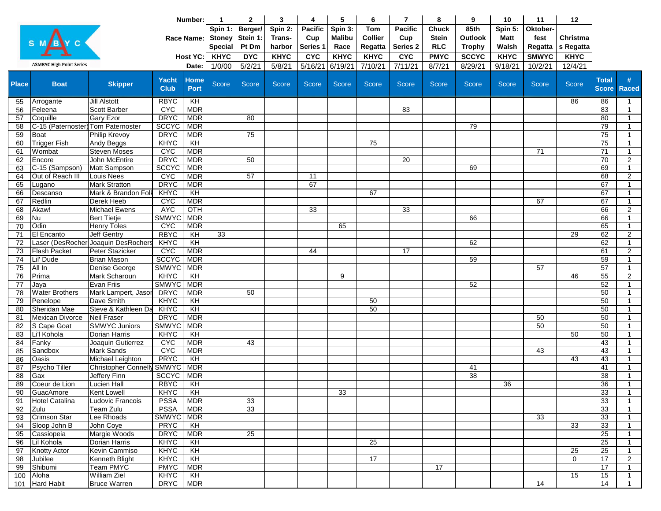|              |                                    |                                       | Number:                    |                          | -1                              | $\mathbf{2}$ | 3            | 4          | 5             | 6               | $\overline{7}$  | 8            | 9              | 10           | 11              | 12              |                 |                                |
|--------------|------------------------------------|---------------------------------------|----------------------------|--------------------------|---------------------------------|--------------|--------------|------------|---------------|-----------------|-----------------|--------------|----------------|--------------|-----------------|-----------------|-----------------|--------------------------------|
|              |                                    |                                       |                            |                          | Spin 1:                         | Berger/      | Spin 2:      | Pacific    | Spin 3:       | <b>Tom</b>      | <b>Pacific</b>  | <b>Chuck</b> | 85th           | Spin 5:      | Oktober-        |                 |                 |                                |
|              |                                    |                                       |                            | <b>Race Name:</b>        |                                 | Stein 1:     | Trans-       | Cup        | <b>Malibu</b> | <b>Collier</b>  | Cup             | <b>Stein</b> | <b>Outlook</b> | Matt         | fest            | Christma        |                 |                                |
|              |                                    |                                       |                            |                          | <b>Stoney</b><br><b>Special</b> | Pt Dm        | harbor       | Series 1   | Race          | Regatta         | Series 2        | <b>RLC</b>   | <b>Trophy</b>  | Walsh        | Regatta         | s Regatta       |                 |                                |
|              |                                    |                                       |                            | <b>Host YC:</b>          | <b>KHYC</b>                     | <b>DYC</b>   | <b>KHYC</b>  | <b>CYC</b> | <b>KHYC</b>   | <b>KHYC</b>     | <b>CYC</b>      | <b>PMYC</b>  | <b>SCCYC</b>   | <b>KHYC</b>  | <b>SMWYC</b>    | <b>KHYC</b>     |                 |                                |
|              | <b>ASMBYC High Point Series</b>    |                                       |                            | Date:                    | 1/0/00                          | 5/2/21       | 5/8/21       | 5/16/21    | 6/19/21       | 7/10/21         | 7/11/21         | 8/7/21       | 8/29/21        | 9/18/21      | 10/2/21         | 12/4/21         |                 |                                |
|              |                                    |                                       |                            |                          |                                 |              |              |            |               |                 |                 |              |                |              |                 |                 |                 |                                |
| <b>Place</b> | <b>Boat</b>                        | <b>Skipper</b>                        | <b>Yacht</b>               | <b>Home</b>              | Score                           | <b>Score</b> | <b>Score</b> | Score      | <b>Score</b>  | <b>Score</b>    | <b>Score</b>    | <b>Score</b> | <b>Score</b>   | <b>Score</b> | Score           | Score           | <b>Total</b>    |                                |
|              |                                    |                                       | <b>Club</b>                | <b>Port</b>              |                                 |              |              |            |               |                 |                 |              |                |              |                 |                 | <b>Score</b>    | <b>Raced</b>                   |
| 55           | Arrogante                          | <b>Jill Alstott</b>                   | <b>RBYC</b>                | $\overline{K}$           |                                 |              |              |            |               |                 |                 |              |                |              |                 | 86              | 86              | $\mathbf{1}$                   |
| 56           | Feleena                            | Scott Barber                          | <b>C<sub>A</sub>C</b>      | <b>MDR</b>               |                                 |              |              |            |               |                 | 83              |              |                |              |                 |                 | 83              | $\mathbf{1}$                   |
| 57           | Coquille                           | <b>Gary Ezor</b>                      | <b>DRYC</b>                | <b>MDR</b>               |                                 | 80           |              |            |               |                 |                 |              |                |              |                 |                 | 80              | $\mathbf{1}$                   |
| 58           | C-15 (Paternoster) Tom Paternoster |                                       | <b>SCCYC</b>               | <b>MDR</b>               |                                 |              |              |            |               |                 |                 |              | 79             |              |                 |                 | 79              | $\mathbf{1}$                   |
| 59           | <b>Boat</b>                        | <b>Philip Krevoy</b>                  | <b>DRYC</b>                | <b>MDR</b>               |                                 | 75           |              |            |               |                 |                 |              |                |              |                 |                 | 75              | $\mathbf{1}$                   |
| 60           | <b>Trigger Fish</b>                | Andy Beggs                            | KHYC                       | KH                       |                                 |              |              |            |               | 75              |                 |              |                |              |                 |                 | 75              | $\mathbf{1}$                   |
| 61           | Wombat                             | <b>Steven Moses</b>                   | <b>CYC</b>                 | <b>MDR</b>               |                                 |              |              |            |               |                 |                 |              |                |              | 71              |                 | 71              | $\mathbf{1}$                   |
| 62           | Encore                             | John McEntire                         | <b>DRYC</b>                | <b>MDR</b>               |                                 | 50           |              |            |               |                 | $\overline{20}$ |              |                |              |                 |                 | 70              | $\overline{2}$                 |
| 63           | C-15 (Sampson)                     | Matt Sampson                          | <b>SCCYC</b>               | <b>MDR</b>               |                                 |              |              |            |               |                 |                 |              | 69             |              |                 |                 | 69              | $\mathbf{1}$                   |
| 64           | Out of Reach III                   | Louis Nees                            | <b>CYC</b>                 | <b>MDR</b>               |                                 | 57           |              | 11         |               |                 |                 |              |                |              |                 |                 | 68              | $\overline{2}$                 |
| 65           | Lugano                             | <b>Mark Stratton</b>                  | <b>DRYC</b>                | <b>MDR</b>               |                                 |              |              | 67         |               |                 |                 |              |                |              |                 |                 | 67              | $\mathbf{1}$                   |
| 66           | Descanso                           | Mark & Brandon Foll                   | KHYC                       | KH                       |                                 |              |              |            |               | 67              |                 |              |                |              |                 |                 | 67              | $\mathbf{1}$                   |
| 67           | Redlin                             | <b>Derek Heeb</b>                     | <b>C<sub>AC</sub></b>      | <b>MDR</b>               |                                 |              |              |            |               |                 |                 |              |                |              | 67              |                 | 67              | $\mathbf{1}$                   |
| 68           | Akaw!                              | <b>Michael Ewens</b>                  | <b>AYC</b>                 | OTH                      |                                 |              |              | 33         |               |                 | 33              |              |                |              |                 |                 | 66              | $\overline{2}$                 |
| 69           | Nu                                 | <b>Bert Tietje</b>                    | <b>SMWYC</b>               | <b>MDR</b>               |                                 |              |              |            |               |                 |                 |              | 66             |              |                 |                 | 66              | $\mathbf{1}$                   |
| 70           | Odin                               | <b>Henry Toles</b>                    | <b>CYC</b>                 | <b>MDR</b>               |                                 |              |              |            | 65            |                 |                 |              |                |              |                 |                 | 65              | $\mathbf{1}$                   |
| 71           | El Encanto                         | Jeff Gentry                           | <b>RBYC</b>                | KH                       | 33                              |              |              |            |               |                 |                 |              |                |              |                 | 29              | 62              | $\overline{2}$                 |
| 72           |                                    | Laser (DesRocher Joaquin DesRochers   | <b>KHYC</b>                | KH                       |                                 |              |              |            |               |                 |                 |              | 62             |              |                 |                 | 62              | $\mathbf{1}$                   |
| 73<br>74     | <b>Flash Packet</b>                | Peter Stazicker<br><b>Brian Mason</b> | <b>CYC</b><br><b>SCCYC</b> | <b>MDR</b><br><b>MDR</b> |                                 |              |              | 44         |               |                 | 17              |              | 59             |              |                 |                 | 61<br>59        | $\overline{2}$<br>$\mathbf{1}$ |
| 75           | Lil' Dude<br>All In                | Denise George                         | <b>SMWYC</b>               | <b>MDR</b>               |                                 |              |              |            |               |                 |                 |              |                |              | 57              |                 | 57              | $\mathbf{1}$                   |
| 76           | Prima                              | Mark Scharoun                         | KHYC                       | KH                       |                                 |              |              |            | 9             |                 |                 |              |                |              |                 | 46              | 55              | $\overline{2}$                 |
| 77           | Jaya                               | Evan Friis                            | <b>SMWYC</b>               | <b>MDR</b>               |                                 |              |              |            |               |                 |                 |              | 52             |              |                 |                 | 52              | $\mathbf{1}$                   |
| 78           | <b>Water Brothers</b>              | Mark Lampert, Jasor                   | <b>DRYC</b>                | <b>MDR</b>               |                                 | 50           |              |            |               |                 |                 |              |                |              |                 |                 | 50              | $\mathbf{1}$                   |
| 79           | Penelope                           | Dave Smith                            | KHYC                       | $\overline{K}$           |                                 |              |              |            |               | 50              |                 |              |                |              |                 |                 | 50              | $\mathbf{1}$                   |
| 80           | Sheridan Mae                       | Steve & Kathleen Da                   | <b>KHYC</b>                | KH                       |                                 |              |              |            |               | 50              |                 |              |                |              |                 |                 | 50              | $\mathbf{1}$                   |
| 81           | Mexican Divorce                    | <b>Neil Fraser</b>                    | <b>DRYC</b>                | <b>MDR</b>               |                                 |              |              |            |               |                 |                 |              |                |              | 50              |                 | 50              | $\mathbf{1}$                   |
| 82           | S Cape Goat                        | <b>SMWYC Juniors</b>                  | <b>SMWYC</b>               | <b>MDR</b>               |                                 |              |              |            |               |                 |                 |              |                |              | $\overline{50}$ |                 | 50              | $\mathbf{1}$                   |
| 83           | Li'l Kohola                        | Dorian Harris                         | KH <sub>XC</sub>           | KH                       |                                 |              |              |            |               |                 |                 |              |                |              |                 | $\overline{50}$ | 50              | $\mathbf{1}$                   |
| 84           | Fanky                              | Joaquin Gutierrez                     | <b>CYC</b>                 | <b>MDR</b>               |                                 | 43           |              |            |               |                 |                 |              |                |              |                 |                 | 43              | $\mathbf{1}$                   |
| 85           | Sandbox                            | <b>Mark Sands</b>                     | <b>C<sub>AC</sub></b>      | <b>MDR</b>               |                                 |              |              |            |               |                 |                 |              |                |              | 43              |                 | 43              | $\mathbf{1}$                   |
| 86           | Oasis                              | Michael Leighton                      | <b>PRYC</b>                | KH                       |                                 |              |              |            |               |                 |                 |              |                |              |                 | 43              | 43              | $\mathbf{1}$                   |
| 87           | Psycho Tiller                      | Christopher Connelly SMWYC            |                            | <b>MDR</b>               |                                 |              |              |            |               |                 |                 |              | 41             |              |                 |                 | 41              | $\mathbf{1}$                   |
| 88           | Gax                                | Jeffery Finn                          | <b>SCCYC</b>               | <b>MDR</b>               |                                 |              |              |            |               |                 |                 |              | 38             |              |                 |                 | 38              | $\mathbf{1}$                   |
| 89           | Coeur de Lion                      | <b>Lucien Hall</b>                    | <b>RBYC</b>                | $\overline{K}$           |                                 |              |              |            |               |                 |                 |              |                | 36           |                 |                 | $\overline{36}$ | $\mathbf{1}$                   |
| 90           | GuacAmore                          | <b>Kent Lowell</b>                    | KHYC                       | $\overline{K}$           |                                 |              |              |            | 33            |                 |                 |              |                |              |                 |                 | 33              | -1                             |
| 91           | Hotel Catalina                     | Ludovic Francois                      | PSSA                       | <b>MDR</b>               |                                 | 33           |              |            |               |                 |                 |              |                |              |                 |                 | 33              | $\mathbf{1}$                   |
| 92           | Zulu                               | Team Zulu                             | <b>PSSA</b>                | <b>MDR</b>               |                                 | 33           |              |            |               |                 |                 |              |                |              |                 |                 | 33              | $\mathbf{1}$                   |
| 93           | <b>Crimson Star</b>                | Lee Rhoads                            | SMWYC MDR                  |                          |                                 |              |              |            |               |                 |                 |              |                |              | 33              |                 | 33              | $\mathbf{1}$                   |
| 94           | Sloop John B                       | John Coye                             | <b>PRYC</b>                | KH                       |                                 |              |              |            |               |                 |                 |              |                |              |                 | $\overline{33}$ | 33              | $\mathbf{1}$                   |
| 95           | Cassiopeia                         | Margie Woods                          | <b>DRYC</b>                | <b>MDR</b>               |                                 | 25           |              |            |               |                 |                 |              |                |              |                 |                 | $\overline{25}$ | $\mathbf{1}$                   |
| 96           | Lil Kohola                         | Dorian Harris                         | <b>KHYC</b>                | KH                       |                                 |              |              |            |               | 25              |                 |              |                |              |                 |                 | 25              | $\mathbf{1}$                   |
| 97           | <b>Knotty Actor</b>                | Kevin Cammiso                         | KHYC                       | $\overline{K}$           |                                 |              |              |            |               |                 |                 |              |                |              |                 | 25              | 25              | $\mathbf{1}$                   |
| 98           | Jubilee                            | Kenneth Blight                        | KHYC                       | KH                       |                                 |              |              |            |               | $\overline{17}$ |                 |              |                |              |                 | $\mathbf 0$     | 17              | $\overline{2}$                 |
| 99           | Shibumi                            | <b>Team PMYC</b>                      | <b>PMYC</b>                | MDR                      |                                 |              |              |            |               |                 |                 | 17           |                |              |                 |                 | 17              | $\mathbf{1}$                   |
| 100          | Aloha                              | <b>William Ziel</b>                   | <b>KHYC</b>                | $\overline{K}$           |                                 |              |              |            |               |                 |                 |              |                |              |                 | 15              | 15              | $\mathbf{1}$                   |
| 101          | <b>Hard Habit</b>                  | <b>Bruce Warren</b>                   | <b>DRYC</b>                | <b>MDR</b>               |                                 |              |              |            |               |                 |                 |              |                |              | 14              |                 | 14              | $\mathbf{1}$                   |